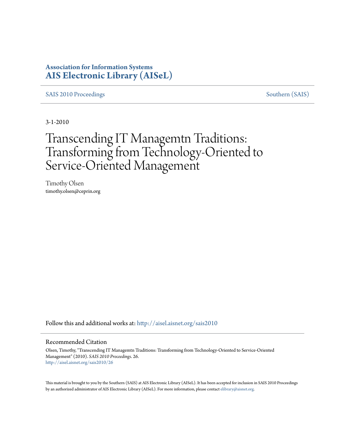### **Association for Information Systems [AIS Electronic Library \(AISeL\)](http://aisel.aisnet.org?utm_source=aisel.aisnet.org%2Fsais2010%2F26&utm_medium=PDF&utm_campaign=PDFCoverPages)**

[SAIS 2010 Proceedings](http://aisel.aisnet.org/sais2010?utm_source=aisel.aisnet.org%2Fsais2010%2F26&utm_medium=PDF&utm_campaign=PDFCoverPages) [Southern \(SAIS\)](http://aisel.aisnet.org/sais?utm_source=aisel.aisnet.org%2Fsais2010%2F26&utm_medium=PDF&utm_campaign=PDFCoverPages)

3-1-2010

# Transcending IT Managemtn Traditions: Transforming from Technology-Oriented to Service-Oriented Management

Timothy Olsen timothy.olsen@ceprin.org

Follow this and additional works at: [http://aisel.aisnet.org/sais2010](http://aisel.aisnet.org/sais2010?utm_source=aisel.aisnet.org%2Fsais2010%2F26&utm_medium=PDF&utm_campaign=PDFCoverPages)

#### Recommended Citation

Olsen, Timothy, "Transcending IT Managemtn Traditions: Transforming from Technology-Oriented to Service-Oriented Management" (2010). *SAIS 2010 Proceedings*. 26. [http://aisel.aisnet.org/sais2010/26](http://aisel.aisnet.org/sais2010/26?utm_source=aisel.aisnet.org%2Fsais2010%2F26&utm_medium=PDF&utm_campaign=PDFCoverPages)

This material is brought to you by the Southern (SAIS) at AIS Electronic Library (AISeL). It has been accepted for inclusion in SAIS 2010 Proceedings by an authorized administrator of AIS Electronic Library (AISeL). For more information, please contact [elibrary@aisnet.org](mailto:elibrary@aisnet.org%3E).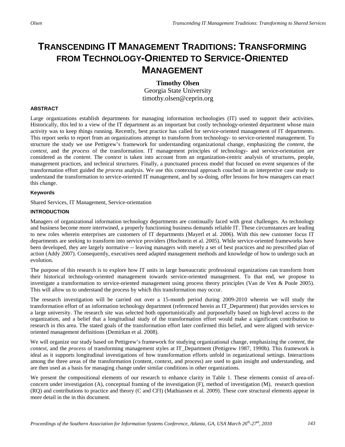## **TRANSCENDING IT MANAGEMENT TRADITIONS: TRANSFORMING FROM TECHNOLOGY-ORIENTED TO SERVICE-ORIENTED MANAGEMENT**

#### **Timothy Olsen**

Georgia State University timothy.olsen@ceprin.org

#### **ABSTRACT**

Large organizations establish departments for managing information technologies (IT) used to support their activities. Historically, this led to a view of the IT department as an important but costly technology-oriented department whose main activity was to keep things running. Recently, best practice has called for service-oriented management of IT departments. This report seeks to report from an organizations attempt to transform from technology- to service-oriented management. To structure the study we use Pettigrew's framework for understanding organizational change, emphasizing the *content*, the *context*, and the *process* of the transformation. IT management principles of technology- and service-orientation are considered as the *content*. The *context* is taken into account from an organization-centric analysis of structures, people, management practices, and technical structures. Finally, a punctuated process model that focused on event sequences of the transformation effort guided the *process* analysis. We use this contextual approach couched in an interpretive case study to understand the transformation to service-oriented IT management, and by so-doing, offer lessons for how managers can enact this change.

#### **Keywords**

Shared Services, IT Management, Service-orientation

#### **INTRODUCTION**

Managers of organizational information technology departments are continually faced with great challenges. As technology and business become more intertwined, a properly functioning business demands reliable IT. These circumstances are leading to new roles wherein enterprises are customers of IT departments (Mayerl et al. 2006). With this new customer focus IT departments are seeking to transform into service providers (Hochstein et al. 2005). While service-oriented frameworks have been developed, they are largely normative -- leaving managers with merely a set of best practices and no prescribed plan of action (Addy 2007). Consequently, executives need adapted management methods and knowledge of how to undergo such an evolution.

The purpose of this research is to explore how IT units in large bureaucratic professional organizations can transform from their historical technology-oriented management towards service-oriented management. To that end, we propose to investigate a transformation to service-oriented management using process theory principles (Van de Ven & Poole 2005). This will allow us to understand the process by which this transformation may occur.

The research investigation will be carried out over a 15-month period during 2009-2010 wherein we will study the transformation effort of an information technology department (referenced herein as IT\_Department) that provides services to a large university. The research site was selected both opportunistically and purposefully based on high-level access to the organization, and a belief that a longitudinal study of the transformation effort would make a significant contribution to research in this area. The stated goals of the transformation effort later confirmed this belief, and were aligned with serviceoriented management definitions (Demirkan et al. 2008).

We will organize our study based on Pettigrew's framework for studying organizational change, emphasizing the *content*, the *context*, and the *process* of transforming management styles at IT\_Department (Pettigrew 1987, 1990b). This framework is ideal as it supports longitudinal investigations of how transformation efforts unfold in organizational settings. Interactions among the three areas of the transformation (content, context, and process) are used to gain insight and understanding, and are then used as a basis for managing change under similar conditions in other organizations.

We present the compositional elements of our research to enhance clarity in Table 1. These elements consist of area-ofconcern under investigation (A), conceptual framing of the investigation (F), method of investigation (M), research question (RQ) and contributions to practice and theory (C and CFI) (Mathiassen et al. 2009). These core structural elements appear in more detail in the in this document.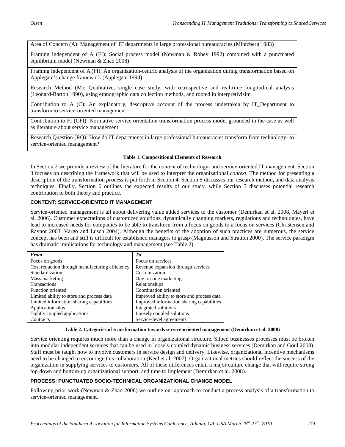Area of Concern (A): Management of IT departments in large professional bureaucracies (Mintzberg 1983)

Framing independent of A (FI): Social process model (Newman & Robey 1992) combined with a punctuated equilibrium model (Newman & Zhao 2008)

Framing independent of A (FI): An organization-centric analysis of the organization during transformation based on Applegate's change framework (Applegate 1994)

Research Method (M): Qualitative, single case study, with retrospective and real-time longitudinal analysis (Leonard-Barton 1990), using ethnographic data collection methods, and rooted in interpretivisim

Contribution to A (C): An explanatory, descriptive account of the process undertaken by IT\_Department to transform to service-oriented management

Contribution to FI (CFI): Normative service orientation transformation process model grounded in the case as well as literature about service management

Research Question (RQ): How do IT departments in large professional bureaucracies transform from technology- to service-oriented management?

#### **Table 1. Compositional Elements of Research**

In Section 2 we provide a review of the literature for the *content* of technology- and service-oriented IT management. Section 3 focuses on describing the framework that will be used to interpret the organizational *context*. The method for presenting a description of the transformation *process* is put forth in Section 4. Section 5 discusses our research method, and data analysis techniques. Finally, Section 6 outlines the expected results of our study, while Section 7 discusses potential research contribution to both theory and practice.

#### **CONTENT: SERVICE-ORIENTED IT MANAGEMENT**

Service-oriented management is all about delivering value added services to the customer (Demirkan et al. 2008, Mayerl et al. 2006). Customer expectations of customized solutions, dynamically changing markets, regulations and technologies, have lead to increased needs for companies to be able to transform from a focus on goods to a focus on services (Christensen and Raynor 2003, Vargo and Lusch 2004). Although the benefits of the adoption of such practices are numerous, the service concept has been and still is difficult for established managers to grasp (Magnusson and Stratton 2000). The service paradigm has dramatic implications for technology and management (see Table 2).

| <b>From</b>                                     | Tо                                         |
|-------------------------------------------------|--------------------------------------------|
| Focus on goods                                  | Focus on services                          |
| Cost reduction through manufacturing efficiency | Revenue expansion through services         |
| Standardization                                 | Customization                              |
| Mass marketing                                  | One-on-one marketing                       |
| <b>Transactions</b>                             | Relationships                              |
| Function oriented                               | Coordination oriented                      |
| Limited ability to store and process data       | Improved ability to store and process data |
| Limited information sharing capabilities        | Improved information sharing capabilities  |
| Application silos                               | Integrated solutions                       |
| Tightly coupled applications                    | Loosely coupled solutions                  |
| Contracts                                       | Service-level agreements                   |

#### **Table 2. Categories of transformation towards service-oriented management (Demirkan et al. 2008)**

Service orienting requires much more than a change in organizational structure. Siloed businesses processes must be broken into modular independent services that can be used in loosely coupled dynamic business services (Demirkan and Goul 2008). Staff must be taught how to involve customers in service design and delivery. Likewise, organizational incentive mechanisms need to be changed to encourage this collaboration (Keel et al. 2007). Organizational metrics should reflect the success of the organization in supplying services to customers. All of these differences entail a major culture change that will require strong top-down and bottom-up organizational support, and time to implement (Demirkan et al. 2008).

#### **PROCESS: PUNCTUATED SOCIO-TECHNICAL ORGANIZATIONAL CHANGE MODEL**

Following prior work (Newman & Zhao 2008) we outline our approach to conduct a process analysis of a transformation to service-oriented management.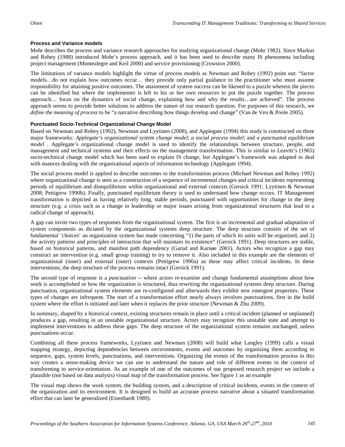#### **Process and Variance models**

Mohr describes the process and variance research approaches for studying organizational change (Mohr 1982). Since Markus and Robey (1988) introduced Mohr's process approach, and it has been used to describe many IS phenomena including project management (Montealegre and Keil 2000) and service provisioning (Crowston 2000).

The limitations of variance models highlight the virtue of process models as Newman and Robey (1992) point out: "factor models…do not explain how outcomes occur… they provide only partial guidance to the practitioner who must assume responsibility for attaining positive outcomes. The attainment of system success can be likened to a puzzle wherein the pieces can be identified but where the implementer is left to his or her own resources to put the puzzle together. The process approach… focus on the dynamics of social change, explaining how and why the results…are achieved". The process approach seems to provide better solutions to address the nature of our research question. For purposes of this research, we *define the meaning of process* to be "a narrative describing how things develop and change" (Van de Ven & Poole 2005).

#### **Punctuated Socio-Technical Organizational Change Model**

Based on Newman and Robey (1992), Newman and Lyytinen (2008), and Applegate (1994) this study is constructed on three major frameworks*: Applegate's organizational system change model*; *a social process model*; and *a punctuated equilibrium model* . Applegate's organizational change model is used to identify the relationships between structure, people, and management and technical systems and their effects on the management transformation. This is similar to Leavitt's (1965) socio-technical change model which has been used to explain IS change, but Applegate's framework was adapted to deal with nuances dealing with the organizational aspects of information technology (Applegate 1994).

The social process model is applied to describe outcomes to the transformation process (Michael Newman and Robey 1992) where organizational change is seen as a construction of a sequence of incremental changes and critical incidents representing periods of equilibrium and disequilibrium within organizational and external contexts (Gersick 1991; Lyytinen & Newman 2008; Pettigrew 1990b). Finally, punctuated equilibrium theory is used to understand how change occurs. IT Management transformation is depicted as having relatively long, stable periods, punctuated with opportunities for change to the deep structure (e.g. a crisis such as a change in leadership or major issues arising from organizational structures that lead to a radical change of approach).

A gap can invite two types of responses from the organizational system. The first is an incremental and gradual adaptation of system components as dictated by the organizational systems deep structure. The deep structure consists of the set of fundamental 'choices' an organization system has made concerning "1) the parts of which its units will be organized, and 2) the activity patterns and principles of interaction that will maintain its existence" (Gersick 1991). Deep structures are stable, based on historical patterns, and manifest path dependency (Garud and Karnøe 2001). Actors who recognize a gap may construct an intervention (e.g. small group training) to try to remove it. Also included in this example are the elements of organizational (inner) and external (outer) contexts (Pettigrew 1990a) as these may affect critical incidents. In these interventions, the deep structure of the process remains intact (Gersick 1991).

The second type of response is a *punctuation* -- where actors re-examine and change fundamental assumptions about how work is accomplished or how the organization is structured, thus rewriting the organizational systems deep structure. During punctuation, organizational system elements are re-configured and afterwards they exhibit new emergent properties. These types of changes are infrequent. The start of a transformation effort nearly always involves punctuations, first in the build system where the effort is initiated and later when it replaces the prior structure (Newman & Zhu 2009).

In summary, shaped by a historical context, existing structures remain in place until a critical incident (planned or unplanned) produces a gap, resulting in an unstable organizational structure. Actors may recognize this unstable state and attempt to implement interventions to address these gaps. The deep structure of the organizational system remains unchanged, unless punctuations occur.

Combining all these process frameworks, Lyytinen and Newman (2008) will build what Langley (1999) calls a visual mapping strategy, depicting dependencies between environments, events and outcomes by organizing them according to sequence, gaps, system levels, punctuations, and interventions. Organizing the events of the transformation process in this way creates a sense-making device we can use to understand the nature and role of different events in the context of transforming to service-orientation. As an example of one of the outcomes of our proposed research project we include a plausible (not based on data analysis) visual map of the transformation process. See figure 1 as an example

The visual map shows the work system, the building system, and a description of critical incidents, events in the context of the organization and its environment. It is designed to build an accurate process narrative about a situated transformation effort that can later be generalized (Eisenhardt 1989).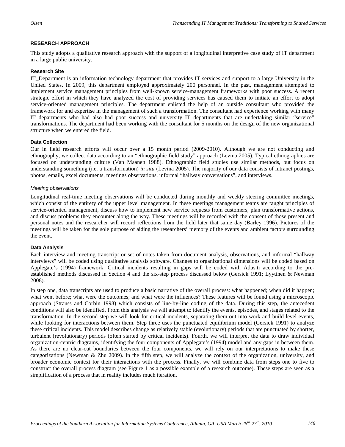#### **RESEARCH APPROACH**

This study adopts a qualitative research approach with the support of a longitudinal interpretive case study of IT department in a large public university.

#### **Research Site**

IT\_Department is an information technology department that provides IT services and support to a large University in the United States. In 2009, this department employed approximately 200 personnel. In the past, management attempted to implement service management principles from well-known service-management frameworks with poor success. A recent strategic effort in which they have analyzed the cost of providing services has caused them to initiate an effort to adopt service-oriented management principles. The department enlisted the help of an outside consultant who provided the framework for and expertise in the management of such a transformation. The consultant had experience working with many IT departments who had also had poor success and university IT departments that are undertaking similar "service" transformations. The department had been working with the consultant for 5 months on the design of the new organizational structure when we entered the field.

#### **Data Collection**

Our in field research efforts will occur over a 15 month period (2009-2010). Although we are not conducting and ethnography, we collect data according to an "ethnographic field study" approach (Levina 2005). Typical ethnographies are focused on understanding culture (Van Maanen 1988). Ethnographic field studies use similar methods, but focus on understanding something (i.e. a transformation) *in situ* (Levina 2005). The majority of our data consists of intranet postings, photos, emails, excel documents, meetings observations, informal "hallway conversations", and interviews.

#### *Meeting observations*

Longitudinal real-time meeting observations will be conducted during monthly and weekly steering committee meetings, which consist of the entirety of the upper level management. In these meetings management teams are taught principles of service-oriented management, discuss how to implement new service requests from customers, plan transformative actions, and discuss problems they encounter along the way. These meetings will be recorded with the consent of those present and personal notes and the researcher will record reflections from the field later that same day (Barley 1996). Pictures of the meetings will be taken for the sole purpose of aiding the researchers' memory of the events and ambient factors surrounding the event.

#### **Data Analysis**

Each interview and meeting transcript or set of notes taken from document analysis, observations, and informal "hallway interviews" will be coded using qualitative analysis software. Changes to organizational dimensions will be coded based on Applegate's (1994) framework. Critical incidents resulting in gaps will be coded with Atlas.ti according to the preestablished methods discussed in Section 4 and the six-step process discussed below (Gersick 1991; Lyytinen & Newman 2008).

In step one, data transcripts are used to produce a basic narrative of the overall process: what happened; when did it happen; what went before; what were the outcomes; and what were the influences? These features will be found using a microscopic approach (Strauss and Corbin 1998) which consists of line-by-line coding of the data. During this step, the antecedent conditions will also be identified. From this analysis we will attempt to identify the events, episodes, and stages related to the transformation. In the second step we will look for critical incidents, separating them out into work and build level events, while looking for interactions between them. Step three uses the punctuated equilibrium model (Gersick 1991) to analyze these critical incidents. This model describes change as relatively stable (evolutionary) periods that are punctuated by shorter, turbulent (revolutionary) periods (often started by critical incidents). Fourth, we will interpret the data to draw individual organization-centric diagrams, identifying the four components of Applegate's (1994) model and any gaps in between them. As there are no clear-cut boundaries between the four components, we will rely on our interpretations to make these categorizations (Newman & Zhu 2009). In the fifth step, we will analyze the context of the organization, university, and broader economic context for their interactions with the process. Finally, we will combine data from steps one to five to construct the overall process diagram (see Figure 1 as a possible example of a research outcome). These steps are seen as a simplification of a process that in reality includes much iteration.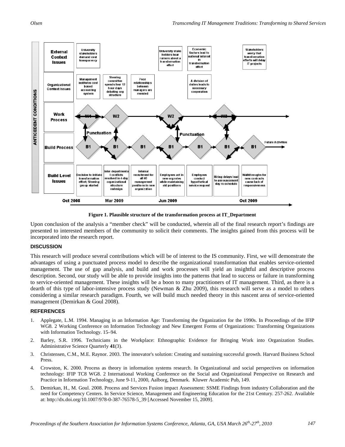

**Figure 1. Plausible structure of the transformation process at IT\_Department**

Upon conclusion of the analysis a "member check" will be conducted, wherein all of the final research report's findings are presented to interested members of the community to solicit their comments. The insights gained from this process will be incorporated into the research report.

#### **DISCUSSION**

This research will produce several contributions which will be of interest to the IS community. First, we will demonstrate the advantages of using a punctuated process model to describe the organizational transformation that enables service-oriented management. The use of gap analysis, and build and work processes will yield an insightful and descriptive process description. Second, our study will be able to provide insights into the patterns that lead to success or failure in transforming to service-oriented management. These insights will be a boon to many practitioners of IT management. Third, as there is a dearth of this type of labor-intensive process study (Newman & Zhu 2009), this research will serve as a model to others considering a similar research paradigm. Fourth, we will build much needed theory in this nascent area of service-oriented management (Demirkan & Goul 2008).

#### **REFERENCES**

- 1. Applegate, L.M. 1994. Managing in an Information Age: Transforming the Organization for the 1990s. In Proceedings of the IFIP WG8. 2 Working Conference on Information Technology and New Emergent Forms of Organizations: Transforming Organizations with Information Technology. 15–94.
- 2. Barley, S.R. 1996. Technicians in the Workplace: Ethnographic Evidence for Bringing Work into Organization Studies. Administrative Science Quarterly **41**(3).
- 3. Christensen, C.M., M.E. Raynor. 2003. The innovator's solution: Creating and sustaining successful growth. Harvard Business School Press.
- 4. Crowston, K. 2000. Process as theory in information systems research. In Organizational and social perspectives on information technology: IFIP TC8 WG8. 2 International Working Conference on the Social and Organizational Perspective on Research and Practice in Information Technology, June 9-11, 2000, Aalborg, Denmark. Kluwer Academic Pub, 149.
- 5. Demirkan, H., M. Goul. 2008. Process and Services Fusion impact Assessment: SSME Findings from industry Collaboration and the need for Competency Centers. In Service Science, Management and Engineering Education for the 21st Century. 257-262. Available at: http://dx.doi.org/10.1007/978-0-387-76578-5\_39 [Accessed November 15, 2009].